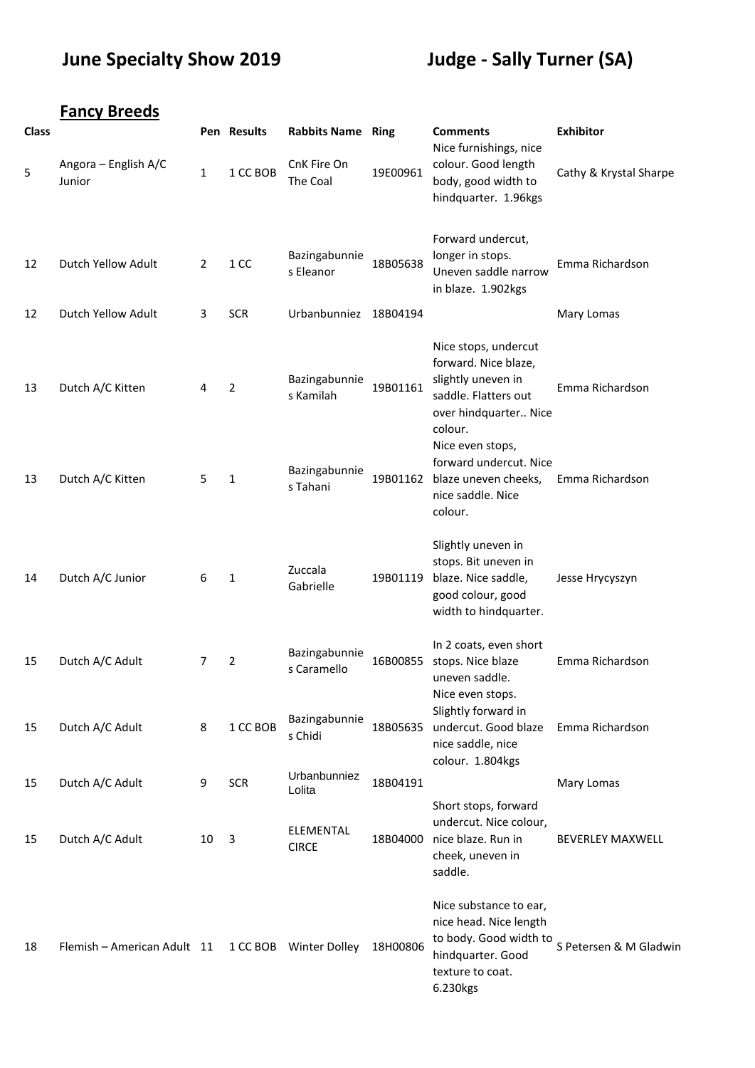## **June Specialty Show 2019 Judge - Sally Turner (SA)**

|              | <b>Fancy Breeds</b>            |              |             |                              |          |                                                                                                                                                    |                         |
|--------------|--------------------------------|--------------|-------------|------------------------------|----------|----------------------------------------------------------------------------------------------------------------------------------------------------|-------------------------|
| <b>Class</b> |                                |              | Pen Results | <b>Rabbits Name Ring</b>     |          | <b>Comments</b>                                                                                                                                    | <b>Exhibitor</b>        |
| 5            | Angora - English A/C<br>Junior | $\mathbf{1}$ | 1 CC BOB    | CnK Fire On<br>The Coal      | 19E00961 | Nice furnishings, nice<br>colour. Good length<br>body, good width to<br>hindquarter. 1.96kgs                                                       | Cathy & Krystal Sharpe  |
| 12           | Dutch Yellow Adult             | 2            | 1 CC        | Bazingabunnie<br>s Eleanor   | 18B05638 | Forward undercut,<br>longer in stops.<br>Uneven saddle narrow<br>in blaze. 1.902kgs                                                                | Emma Richardson         |
| 12           | Dutch Yellow Adult             | 3            | <b>SCR</b>  | Urbanbunniez 18B04194        |          |                                                                                                                                                    | Mary Lomas              |
| 13           | Dutch A/C Kitten               | 4            | 2           | Bazingabunnie<br>s Kamilah   | 19B01161 | Nice stops, undercut<br>forward. Nice blaze,<br>slightly uneven in<br>saddle. Flatters out<br>over hindquarter Nice<br>colour.<br>Nice even stops, | Emma Richardson         |
| 13           | Dutch A/C Kitten               | 5            | 1           | Bazingabunnie<br>s Tahani    | 19B01162 | forward undercut. Nice<br>blaze uneven cheeks,<br>nice saddle. Nice<br>colour.                                                                     | Emma Richardson         |
| 14           | Dutch A/C Junior               | 6            | 1           | Zuccala<br>Gabrielle         | 19B01119 | Slightly uneven in<br>stops. Bit uneven in<br>blaze. Nice saddle,<br>good colour, good<br>width to hindquarter.                                    | Jesse Hrycyszyn         |
| 15           | Dutch A/C Adult                | 7            | 2           | Bazingabunnie<br>s Caramello | 16B00855 | In 2 coats, even short<br>stops. Nice blaze<br>uneven saddle.<br>Nice even stops.                                                                  | Emma Richardson         |
| 15           | Dutch A/C Adult                | 8            | 1 CC BOB    | Bazingabunnie<br>s Chidi     | 18B05635 | Slightly forward in<br>undercut. Good blaze<br>nice saddle, nice<br>colour. 1.804kgs                                                               | Emma Richardson         |
| 15           | Dutch A/C Adult                | 9            | <b>SCR</b>  | Urbanbunniez<br>Lolita       | 18B04191 |                                                                                                                                                    | Mary Lomas              |
| 15           | Dutch A/C Adult                | 10           | 3           | ELEMENTAL<br><b>CIRCE</b>    | 18B04000 | Short stops, forward<br>undercut. Nice colour,<br>nice blaze. Run in<br>cheek, uneven in<br>saddle.                                                | <b>BEVERLEY MAXWELL</b> |
| 18           | Flemish - American Adult 11    |              |             | 1 CC BOB Winter Dolley       | 18H00806 | Nice substance to ear,<br>nice head. Nice length<br>to body. Good width to<br>hindquarter. Good<br>texture to coat.<br>6.230kgs                    | S Petersen & M Gladwin  |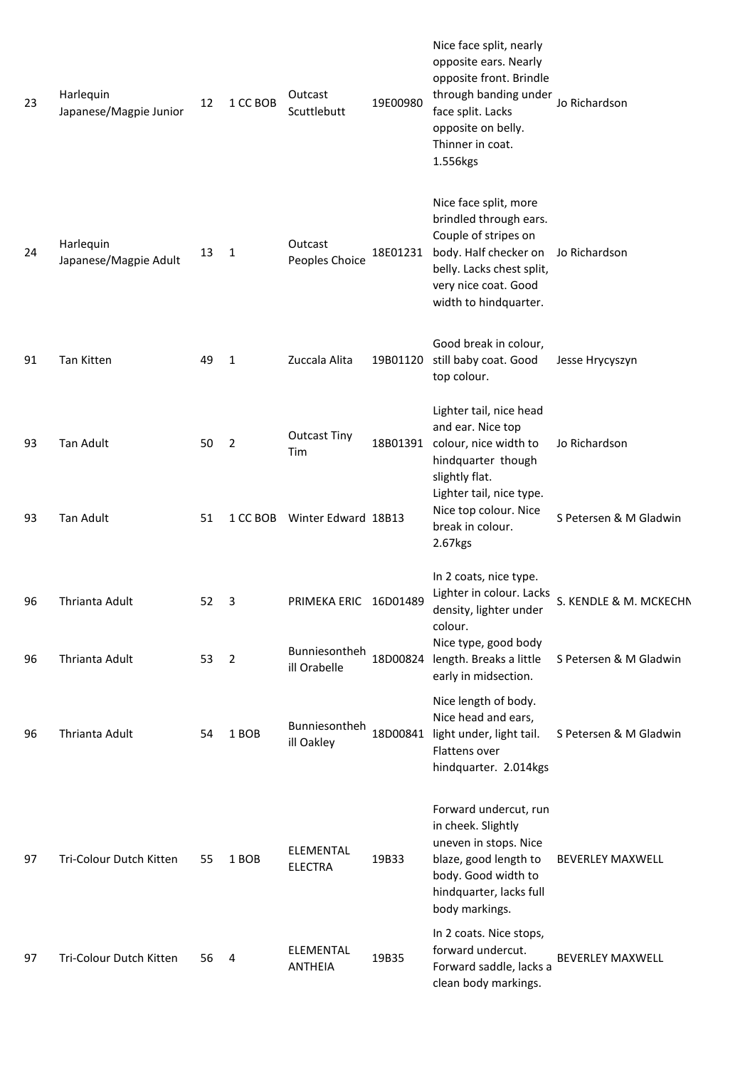| 23 | Harlequin<br>Japanese/Magpie Junior | 12 | 1 CC BOB     | Outcast<br>Scuttlebutt                 | 19E00980 | Nice face split, nearly<br>opposite ears. Nearly<br>opposite front. Brindle<br>through banding under<br>face split. Lacks<br>opposite on belly.<br>Thinner in coat.<br>1.556kgs | Jo Richardson           |
|----|-------------------------------------|----|--------------|----------------------------------------|----------|---------------------------------------------------------------------------------------------------------------------------------------------------------------------------------|-------------------------|
| 24 | Harlequin<br>Japanese/Magpie Adult  | 13 | 1            | Outcast<br>Peoples Choice              | 18E01231 | Nice face split, more<br>brindled through ears.<br>Couple of stripes on<br>body. Half checker on<br>belly. Lacks chest split,<br>very nice coat. Good<br>width to hindquarter.  | Jo Richardson           |
| 91 | Tan Kitten                          | 49 | $\mathbf{1}$ | Zuccala Alita                          | 19B01120 | Good break in colour,<br>still baby coat. Good<br>top colour.                                                                                                                   | Jesse Hrycyszyn         |
| 93 | Tan Adult                           | 50 | 2            | <b>Outcast Tiny</b><br>Tim             | 18B01391 | Lighter tail, nice head<br>and ear. Nice top<br>colour, nice width to<br>hindquarter though<br>slightly flat.<br>Lighter tail, nice type.                                       | Jo Richardson           |
| 93 | <b>Tan Adult</b>                    | 51 |              | 1 CC BOB Winter Edward 18B13           |          | Nice top colour. Nice<br>break in colour.<br>2.67kgs                                                                                                                            | S Petersen & M Gladwin  |
| 96 | Thrianta Adult                      | 52 | 3            | PRIMEKA ERIC 16D01489<br>Bunniesontheh |          | In 2 coats, nice type.<br>Lighter in colour. Lacks<br>density, lighter under<br>colour.<br>Nice type, good body                                                                 | S. KENDLE & M. MCKECHN  |
| 96 | Thrianta Adult                      | 53 | 2            | ill Orabelle                           | 18D00824 | length. Breaks a little<br>early in midsection.                                                                                                                                 | S Petersen & M Gladwin  |
| 96 | Thrianta Adult                      | 54 | 1 BOB        | Bunniesontheh<br>ill Oakley            | 18D00841 | Nice length of body.<br>Nice head and ears,<br>light under, light tail.<br>Flattens over<br>hindquarter. 2.014kgs                                                               | S Petersen & M Gladwin  |
| 97 | Tri-Colour Dutch Kitten             | 55 | 1 BOB        | ELEMENTAL<br><b>ELECTRA</b>            | 19B33    | Forward undercut, run<br>in cheek. Slightly<br>uneven in stops. Nice<br>blaze, good length to<br>body. Good width to<br>hindquarter, lacks full<br>body markings.               | <b>BEVERLEY MAXWELL</b> |
| 97 | Tri-Colour Dutch Kitten             | 56 | 4            | <b>ELEMENTAL</b><br><b>ANTHEIA</b>     | 19B35    | In 2 coats. Nice stops,<br>forward undercut.<br>Forward saddle, lacks a<br>clean body markings.                                                                                 | <b>BEVERLEY MAXWELL</b> |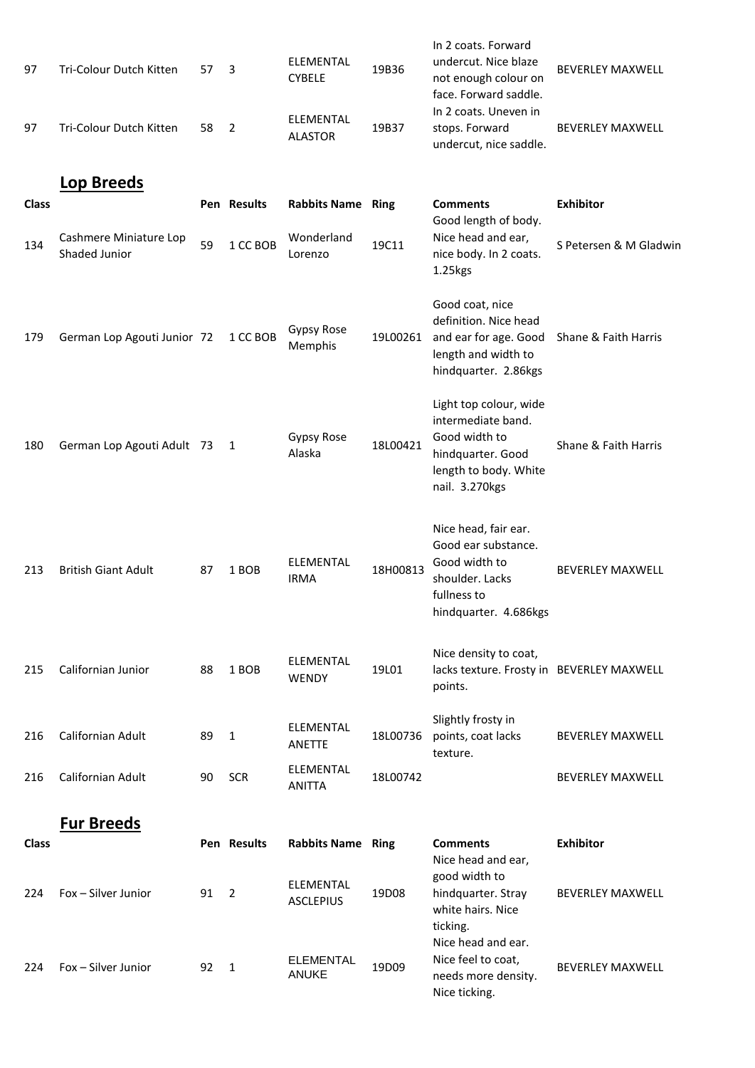| 97           | Tri-Colour Dutch Kitten                 | 57 | 3              | ELEMENTAL<br><b>CYBELE</b>           | 19B36    | In 2 coats. Forward<br>undercut. Nice blaze<br>not enough colour on<br>face. Forward saddle.<br>In 2 coats. Uneven in         | <b>BEVERLEY MAXWELL</b> |
|--------------|-----------------------------------------|----|----------------|--------------------------------------|----------|-------------------------------------------------------------------------------------------------------------------------------|-------------------------|
| 97           | Tri-Colour Dutch Kitten                 | 58 | $\overline{2}$ | <b>ELEMENTAL</b><br><b>ALASTOR</b>   | 19B37    | stops. Forward<br>undercut, nice saddle.                                                                                      | <b>BEVERLEY MAXWELL</b> |
|              | <b>Lop Breeds</b>                       |    |                |                                      |          |                                                                                                                               |                         |
| <b>Class</b> |                                         |    | Pen Results    | <b>Rabbits Name Ring</b>             |          | <b>Comments</b>                                                                                                               | <b>Exhibitor</b>        |
| 134          | Cashmere Miniature Lop<br>Shaded Junior | 59 | 1 CC BOB       | Wonderland<br>Lorenzo                | 19C11    | Good length of body.<br>Nice head and ear,<br>nice body. In 2 coats.<br>1.25kgs                                               | S Petersen & M Gladwin  |
| 179          | German Lop Agouti Junior 72             |    | 1 CC BOB       | Gypsy Rose<br>Memphis                | 19L00261 | Good coat, nice<br>definition. Nice head<br>and ear for age. Good<br>length and width to<br>hindquarter. 2.86kgs              | Shane & Faith Harris    |
| 180          | German Lop Agouti Adult 73              |    | 1              | Gypsy Rose<br>Alaska                 | 18L00421 | Light top colour, wide<br>intermediate band.<br>Good width to<br>hindquarter. Good<br>length to body. White<br>nail. 3.270kgs | Shane & Faith Harris    |
| 213          | <b>British Giant Adult</b>              | 87 | 1 BOB          | ELEMENTAL<br><b>IRMA</b>             | 18H00813 | Nice head, fair ear.<br>Good ear substance.<br>Good width to<br>shoulder. Lacks<br>fullness to<br>hindquarter. 4.686kgs       | <b>BEVERLEY MAXWELL</b> |
| 215          | Californian Junior                      | 88 | 1 BOB          | ELEMENTAL<br><b>WENDY</b>            | 19L01    | Nice density to coat,<br>lacks texture. Frosty in BEVERLEY MAXWELL<br>points.                                                 |                         |
| 216          | Californian Adult                       | 89 | $\mathbf{1}$   | ELEMENTAL<br>ANETTE                  | 18L00736 | Slightly frosty in<br>points, coat lacks<br>texture.                                                                          | <b>BEVERLEY MAXWELL</b> |
| 216          | <b>Californian Adult</b>                | 90 | <b>SCR</b>     | ELEMENTAL<br><b>ANITTA</b>           | 18L00742 |                                                                                                                               | <b>BEVERLEY MAXWELL</b> |
|              |                                         |    |                |                                      |          |                                                                                                                               |                         |
| <b>Class</b> | <b>Fur Breeds</b>                       |    | Pen Results    | <b>Rabbits Name Ring</b>             |          | <b>Comments</b>                                                                                                               | <b>Exhibitor</b>        |
|              |                                         |    |                |                                      |          | Nice head and ear,                                                                                                            |                         |
| 224          | Fox - Silver Junior                     | 91 | $\overline{2}$ | <b>ELEMENTAL</b><br><b>ASCLEPIUS</b> | 19D08    | good width to<br>hindquarter. Stray<br>white hairs. Nice<br>ticking.                                                          | <b>BEVERLEY MAXWELL</b> |
| 224          | Fox - Silver Junior                     | 92 | 1              | <b>ELEMENTAL</b><br><b>ANUKE</b>     | 19D09    | Nice head and ear.<br>Nice feel to coat,<br>needs more density.<br>Nice ticking.                                              | <b>BEVERLEY MAXWELL</b> |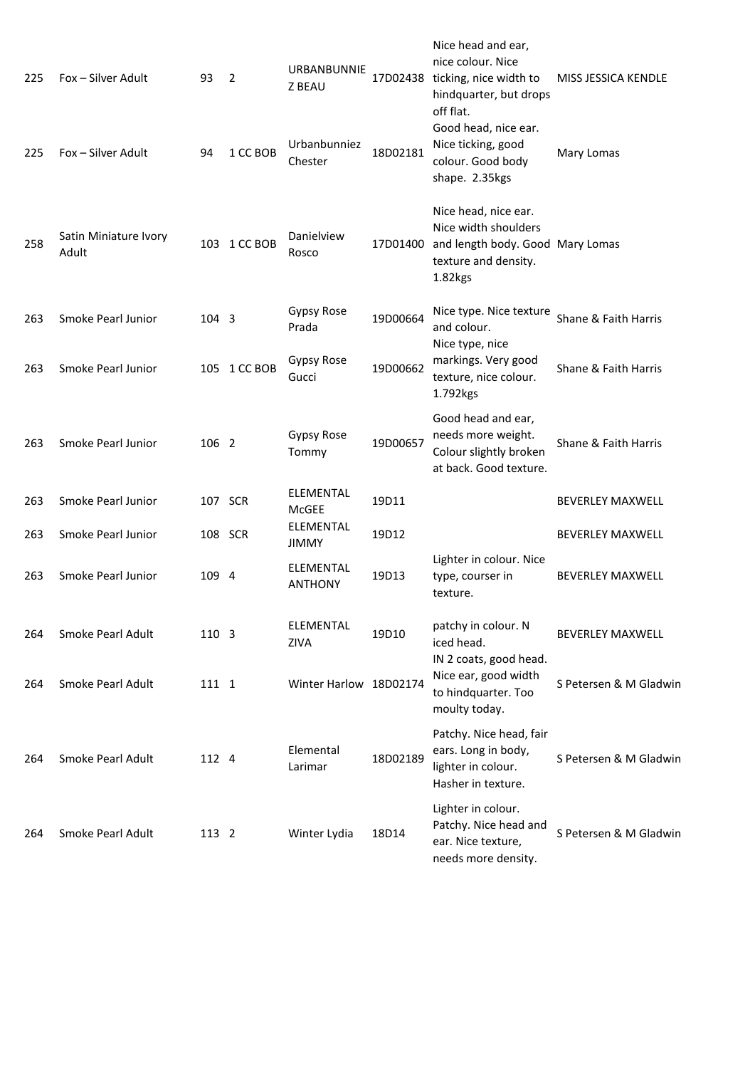| 225 | Fox – Silver Adult             | 93    | 2            | <b>URBANBUNNIE</b><br><b>Z BEAU</b> | 17D02438                                                                                | Nice head and ear,<br>nice colour. Nice<br>ticking, nice width to<br>hindquarter, but drops<br>off flat.            | MISS JESSICA KENDLE     |
|-----|--------------------------------|-------|--------------|-------------------------------------|-----------------------------------------------------------------------------------------|---------------------------------------------------------------------------------------------------------------------|-------------------------|
| 225 | Fox - Silver Adult             | 94    | 1 CC BOB     | Urbanbunniez<br>Chester             | 18D02181                                                                                | Good head, nice ear.<br>Nice ticking, good<br>colour. Good body<br>shape. 2.35kgs                                   | Mary Lomas              |
| 258 | Satin Miniature Ivory<br>Adult |       | 103 1 CC BOB | Danielview<br>Rosco                 | 17D01400                                                                                | Nice head, nice ear.<br>Nice width shoulders<br>and length body. Good Mary Lomas<br>texture and density.<br>1.82kgs |                         |
| 263 | Smoke Pearl Junior             | 104 3 |              | Gypsy Rose<br>Prada                 | 19D00664                                                                                | Nice type. Nice texture<br>and colour.                                                                              | Shane & Faith Harris    |
| 263 | Smoke Pearl Junior             |       | 105 1 CC BOB | Gypsy Rose<br>Gucci                 | Nice type, nice<br>markings. Very good<br>19D00662<br>texture, nice colour.<br>1.792kgs |                                                                                                                     | Shane & Faith Harris    |
| 263 | Smoke Pearl Junior             | 106 2 |              | Gypsy Rose<br>Tommy                 | 19D00657                                                                                | Good head and ear,<br>needs more weight.<br>Colour slightly broken<br>at back. Good texture.                        | Shane & Faith Harris    |
| 263 | Smoke Pearl Junior             |       | 107 SCR      | ELEMENTAL<br>McGEE                  | 19D11                                                                                   |                                                                                                                     | <b>BEVERLEY MAXWELL</b> |
| 263 | Smoke Pearl Junior             |       | 108 SCR      | <b>ELEMENTAL</b><br><b>JIMMY</b>    | 19D12                                                                                   |                                                                                                                     | <b>BEVERLEY MAXWELL</b> |
| 263 | Smoke Pearl Junior             | 109 4 |              | ELEMENTAL<br><b>ANTHONY</b>         | 19D13                                                                                   | Lighter in colour. Nice<br>type, courser in<br>texture.                                                             | <b>BEVERLEY MAXWELL</b> |
| 264 | Smoke Pearl Adult              | 110 3 |              | ELEMENTAL<br><b>ZIVA</b>            | 19D10                                                                                   | patchy in colour. N<br>iced head.<br>IN 2 coats, good head.                                                         | <b>BEVERLEY MAXWELL</b> |
| 264 | Smoke Pearl Adult              | 111 1 |              | Winter Harlow 18D02174              |                                                                                         | Nice ear, good width<br>to hindquarter. Too<br>moulty today.                                                        | S Petersen & M Gladwin  |
| 264 | Smoke Pearl Adult              | 112 4 |              | Elemental<br>Larimar                | 18D02189                                                                                | Patchy. Nice head, fair<br>ears. Long in body,<br>lighter in colour.<br>Hasher in texture.                          | S Petersen & M Gladwin  |
| 264 | Smoke Pearl Adult              | 113 2 |              | Winter Lydia                        | 18D14                                                                                   | Lighter in colour.<br>Patchy. Nice head and<br>ear. Nice texture,<br>needs more density.                            | S Petersen & M Gladwin  |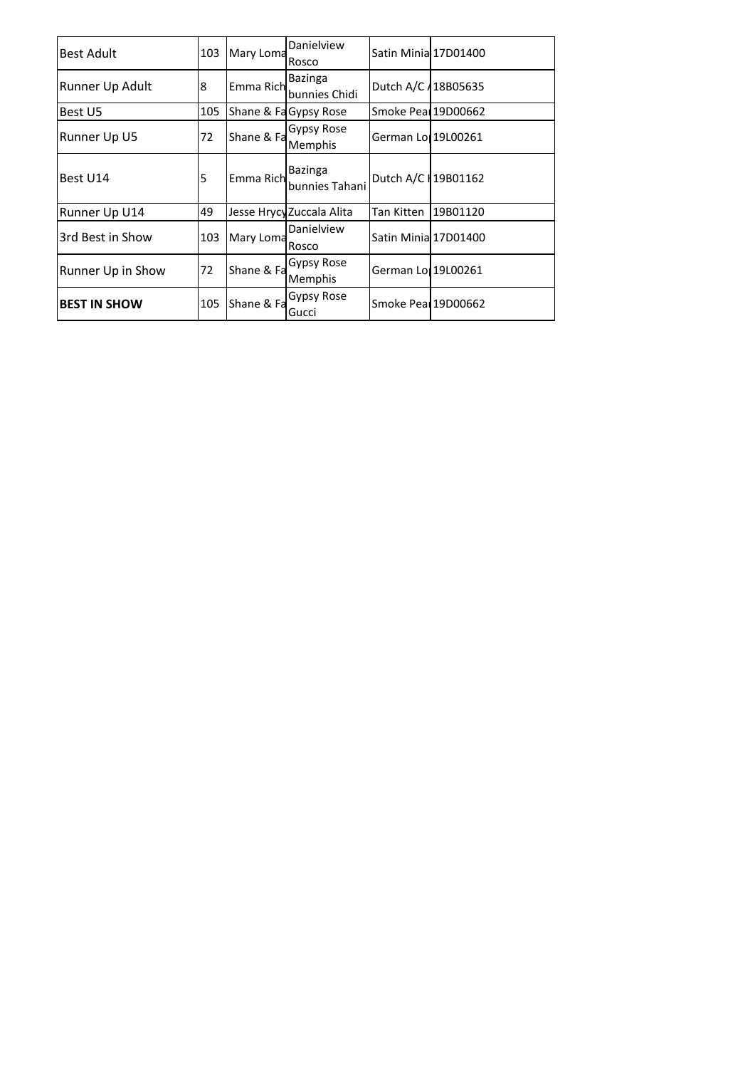| <b>Best Adult</b>   | Mary Loma<br>103 |            | Danielview<br>Rosco             | Satin Minia 17D01400 |          |
|---------------------|------------------|------------|---------------------------------|----------------------|----------|
| Runner Up Adult     | 8                | Emma Rich  | <b>Bazinga</b><br>bunnies Chidi | Dutch A/C 418B05635  |          |
| Best U5             | 105              |            | Shane & Fa Gypsy Rose           | Smoke Peal 19D00662  |          |
| Runner Up U5        | 72               | Shane & Fa | Gypsy Rose<br>Memphis           | German Lor 19L00261  |          |
| Best U14            | 5                | Emma Rich  | Bazinga<br>bunnies Tahani       | Dutch A/C +19B01162  |          |
| Runner Up U14       | 49               |            | Jesse Hrycy Zuccala Alita       | Tan Kitten           | 19B01120 |
| 3rd Best in Show    | 103              | Mary Loma  | Danielview<br>Rosco             | Satin Minia 17D01400 |          |
| Runner Up in Show   | 72               | Shane & Fa | Gypsy Rose<br>Memphis           | German Lor 19L00261  |          |
| <b>BEST IN SHOW</b> | 105              | Shane & Fa | Gypsy Rose<br>Gucci             | Smoke Peal 19D00662  |          |